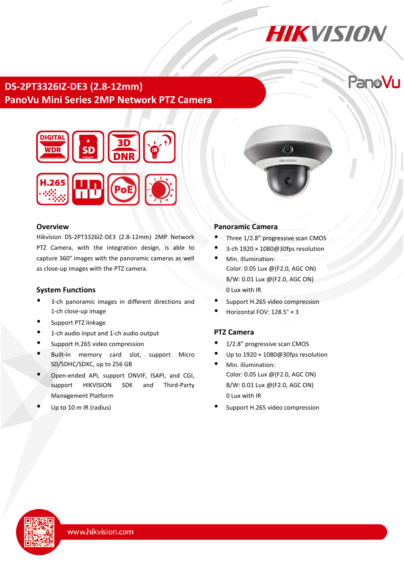# **HIKVISION**

PanoVu

# **DS-2PT3326IZ-DE3 (2.8-12mm) PanoVu Mini Series 2MP Network PTZ Camera**



## **Overview**

Hikvision DS-2PT3326IZ-DE3 (2.8-12mm) 2MP Network PTZ Camera, with the integration design, is able to capture 360° images with the panoramic cameras as well as close-up images with the PTZ camera.

## **System Functions**

- 3-ch panoramic images in different directions and 1-ch close-up image
- Support PTZ linkage
- 1-ch audio input and 1-ch audio output
- Support H.265 video compression
- Built-in memory card slot, support Micro SD/SDHC/SDXC, up to 256 GB
- Open-ended API, support ONVIF, ISAPI, and CGI, support HIKVISION SDK and Third-Party Management Platform
- Up to 10 m IR (radius)

# **Panoramic Camera**

Three 1/2.8" progressive scan CMOS

 $\odot$ 

**HIKVISIO** 

- 3-ch 1920 × 1080@30fps resolution
- Min. illumination: Color: 0.05 Lux @(F2.0, AGC ON) B/W: 0.01 Lux @(F2.0, AGC ON) 0 Lux with IR
- Support H.265 video compression
- Horizontal FOV: 128.5° × 3

# **PTZ Camera**

- 1/2.8" progressive scan CMOS
- Up to 1920 × 1080@30fps resolution
- Min. illumination: Color: 0.05 Lux @(F2.0, AGC ON) B/W: 0.01 Lux @(F2.0, AGC ON) 0 Lux with IR
- Support H.265 video compression

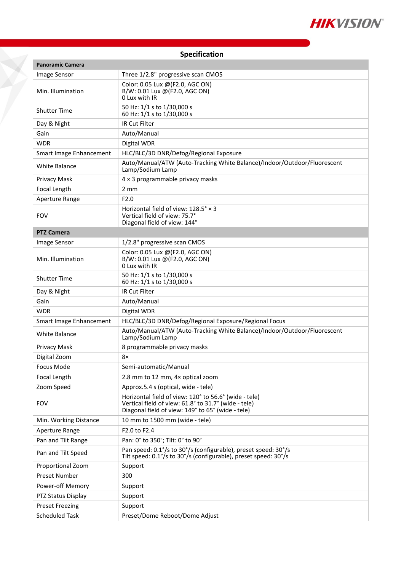

|  | Specification |  |
|--|---------------|--|
|  |               |  |

7

| <b>Panoramic Camera</b> |                                                                                                                                                                    |  |  |
|-------------------------|--------------------------------------------------------------------------------------------------------------------------------------------------------------------|--|--|
| Image Sensor            | Three 1/2.8" progressive scan CMOS                                                                                                                                 |  |  |
| Min. Illumination       | Color: 0.05 Lux @(F2.0, AGC ON)<br>B/W: 0.01 Lux @(F2.0, AGC ON)<br>0 Lux with IR                                                                                  |  |  |
| <b>Shutter Time</b>     | 50 Hz: 1/1 s to 1/30,000 s<br>60 Hz: 1/1 s to 1/30,000 s                                                                                                           |  |  |
| Day & Night             | IR Cut Filter                                                                                                                                                      |  |  |
| Gain                    | Auto/Manual                                                                                                                                                        |  |  |
| <b>WDR</b>              | Digital WDR                                                                                                                                                        |  |  |
| Smart Image Enhancement | HLC/BLC/3D DNR/Defog/Regional Exposure                                                                                                                             |  |  |
| <b>White Balance</b>    | Auto/Manual/ATW (Auto-Tracking White Balance)/Indoor/Outdoor/Fluorescent<br>Lamp/Sodium Lamp                                                                       |  |  |
| Privacy Mask            | $4 \times 3$ programmable privacy masks                                                                                                                            |  |  |
| Focal Length            | $2 \text{ mm}$                                                                                                                                                     |  |  |
| Aperture Range          | F <sub>2.0</sub>                                                                                                                                                   |  |  |
| <b>FOV</b>              | Horizontal field of view: $128.5^{\circ} \times 3$<br>Vertical field of view: 75.7°<br>Diagonal field of view: 144°                                                |  |  |
| <b>PTZ Camera</b>       |                                                                                                                                                                    |  |  |
| Image Sensor            | 1/2.8" progressive scan CMOS                                                                                                                                       |  |  |
| Min. Illumination       | Color: 0.05 Lux @(F2.0, AGC ON)<br>B/W: 0.01 Lux @(F2.0, AGC ON)<br>0 Lux with IR                                                                                  |  |  |
| <b>Shutter Time</b>     | 50 Hz: 1/1 s to 1/30,000 s<br>60 Hz: 1/1 s to 1/30,000 s                                                                                                           |  |  |
| Day & Night             | <b>IR Cut Filter</b>                                                                                                                                               |  |  |
| Gain                    | Auto/Manual                                                                                                                                                        |  |  |
| <b>WDR</b>              | Digital WDR                                                                                                                                                        |  |  |
| Smart Image Enhancement | HLC/BLC/3D DNR/Defog/Regional Exposure/Regional Focus                                                                                                              |  |  |
| <b>White Balance</b>    | Auto/Manual/ATW (Auto-Tracking White Balance)/Indoor/Outdoor/Fluorescent<br>Lamp/Sodium Lamp                                                                       |  |  |
| Privacy Mask            | 8 programmable privacy masks                                                                                                                                       |  |  |
| Digital Zoom            | 8×                                                                                                                                                                 |  |  |
| Focus Mode              | Semi-automatic/Manual                                                                                                                                              |  |  |
| Focal Length            | 2.8 mm to 12 mm, 4x optical zoom                                                                                                                                   |  |  |
| Zoom Speed              | Approx.5.4 s (optical, wide - tele)                                                                                                                                |  |  |
| <b>FOV</b>              | Horizontal field of view: 120° to 56.6° (wide - tele)<br>Vertical field of view: 61.8° to 31.7° (wide - tele)<br>Diagonal field of view: 149° to 65° (wide - tele) |  |  |
| Min. Working Distance   | 10 mm to 1500 mm (wide - tele)                                                                                                                                     |  |  |
| Aperture Range          | F2.0 to F2.4                                                                                                                                                       |  |  |
| Pan and Tilt Range      | Pan: 0° to 350°; Tilt: 0° to 90°                                                                                                                                   |  |  |
| Pan and Tilt Speed      | Pan speed: 0.1°/s to 30°/s (configurable), preset speed: 30°/s<br>Tilt speed: 0.1°/s to 30°/s (configurable), preset speed: 30°/s                                  |  |  |
| Proportional Zoom       | Support                                                                                                                                                            |  |  |
| Preset Number           | 300                                                                                                                                                                |  |  |
| Power-off Memory        | Support                                                                                                                                                            |  |  |
| PTZ Status Display      | Support                                                                                                                                                            |  |  |
| <b>Preset Freezing</b>  | Support                                                                                                                                                            |  |  |
| <b>Scheduled Task</b>   | Preset/Dome Reboot/Dome Adjust                                                                                                                                     |  |  |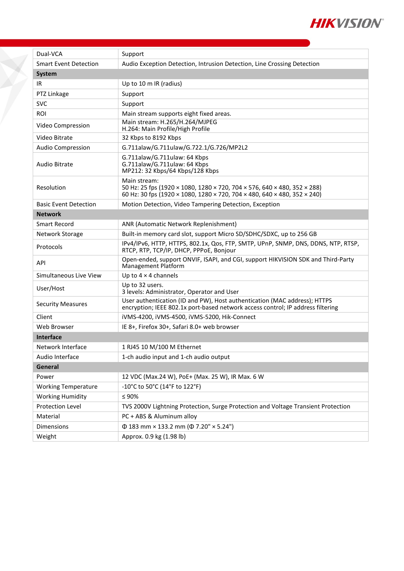

| Dual-VCA                     | Support                                                                                                                                                              |  |  |
|------------------------------|----------------------------------------------------------------------------------------------------------------------------------------------------------------------|--|--|
| <b>Smart Event Detection</b> | Audio Exception Detection, Intrusion Detection, Line Crossing Detection                                                                                              |  |  |
| <b>System</b>                |                                                                                                                                                                      |  |  |
| IR                           | Up to 10 m IR (radius)                                                                                                                                               |  |  |
| PTZ Linkage                  | Support                                                                                                                                                              |  |  |
| <b>SVC</b>                   | Support                                                                                                                                                              |  |  |
| <b>ROI</b>                   | Main stream supports eight fixed areas.                                                                                                                              |  |  |
| Video Compression            | Main stream: H.265/H.264/MJPEG<br>H.264: Main Profile/High Profile                                                                                                   |  |  |
| Video Bitrate                | 32 Kbps to 8192 Kbps                                                                                                                                                 |  |  |
| <b>Audio Compression</b>     | G.711alaw/G.711ulaw/G.722.1/G.726/MP2L2                                                                                                                              |  |  |
| Audio Bitrate                | G.711alaw/G.711ulaw: 64 Kbps<br>G.711alaw/G.711ulaw: 64 Kbps<br>MP212: 32 Kbps/64 Kbps/128 Kbps                                                                      |  |  |
| Resolution                   | Main stream:<br>50 Hz: 25 fps (1920 × 1080, 1280 × 720, 704 × 576, 640 × 480, 352 × 288)<br>60 Hz: 30 fps (1920 × 1080, 1280 × 720, 704 × 480, 640 × 480, 352 × 240) |  |  |
| <b>Basic Event Detection</b> | Motion Detection, Video Tampering Detection, Exception                                                                                                               |  |  |
| <b>Network</b>               |                                                                                                                                                                      |  |  |
| Smart Record                 | ANR (Automatic Network Replenishment)                                                                                                                                |  |  |
| Network Storage              | Built-in memory card slot, support Micro SD/SDHC/SDXC, up to 256 GB                                                                                                  |  |  |
| Protocols                    | IPv4/IPv6, HTTP, HTTPS, 802.1x, Qos, FTP, SMTP, UPnP, SNMP, DNS, DDNS, NTP, RTSP,<br>RTCP, RTP, TCP/IP, DHCP, PPPoE, Bonjour                                         |  |  |
| API                          | Open-ended, support ONVIF, ISAPI, and CGI, support HIKVISION SDK and Third-Party<br>Management Platform                                                              |  |  |
| Simultaneous Live View       | Up to $4 \times 4$ channels                                                                                                                                          |  |  |
| User/Host                    | Up to 32 users.<br>3 levels: Administrator, Operator and User                                                                                                        |  |  |
| <b>Security Measures</b>     | User authentication (ID and PW), Host authentication (MAC address); HTTPS<br>encryption; IEEE 802.1x port-based network access control; IP address filtering         |  |  |
| Client                       | iVMS-4200, iVMS-4500, iVMS-5200, Hik-Connect                                                                                                                         |  |  |
| Web Browser                  | IE 8+, Firefox 30+, Safari 8.0+ web browser                                                                                                                          |  |  |
| Interface                    |                                                                                                                                                                      |  |  |
| Network Interface            | 1 RJ45 10 M/100 M Ethernet                                                                                                                                           |  |  |
| Audio Interface              | 1-ch audio input and 1-ch audio output                                                                                                                               |  |  |
| General                      |                                                                                                                                                                      |  |  |
| Power                        | 12 VDC (Max.24 W), PoE+ (Max. 25 W), IR Max. 6 W                                                                                                                     |  |  |
| <b>Working Temperature</b>   | -10°C to 50°C (14°F to 122°F)                                                                                                                                        |  |  |
| <b>Working Humidity</b>      | $\leq 90\%$                                                                                                                                                          |  |  |
| Protection Level             | TVS 2000V Lightning Protection, Surge Protection and Voltage Transient Protection                                                                                    |  |  |
| Material                     | PC + ABS & Aluminum alloy                                                                                                                                            |  |  |
| Dimensions                   | $\Phi$ 183 mm × 133.2 mm ( $\Phi$ 7.20" × 5.24")                                                                                                                     |  |  |
| Weight                       | Approx. 0.9 kg (1.98 lb)                                                                                                                                             |  |  |

X